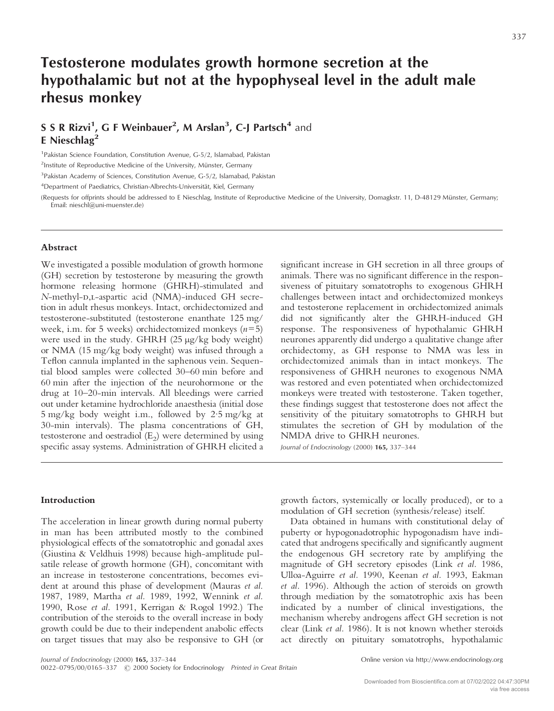# **Testosterone modulates growth hormone secretion at the hypothalamic but not at the hypophyseal level in the adult male rhesus monkey**

# **S S R Rizvi<sup>1</sup>, G F Weinbauer<sup>2</sup>, M Arslan<sup>3</sup>, C-J Partsch<sup>4</sup> and E Nieschlag2**

<sup>1</sup> Pakistan Science Foundation, Constitution Avenue, G-5/2, Islamabad, Pakistan

2 Institute of Reproductive Medicine of the University, Münster, Germany

<sup>3</sup>Pakistan Academy of Sciences, Constitution Avenue, G-5/2, Islamabad, Pakistan

4 Department of Paediatrics, Christian-Albrechts-Universität, Kiel, Germany

(Requests for offprints should be addressed to E Nieschlag, Institute of Reproductive Medicine of the University, Domagkstr. 11, D-48129 Münster, Germany; Email: nieschl@uni-muenster.de)

# **Abstract**

We investigated a possible modulation of growth hormone (GH) secretion by testosterone by measuring the growth hormone releasing hormone (GHRH)-stimulated and *N*-methyl-D,L-aspartic acid (NMA)-induced GH secretion in adult rhesus monkeys. Intact, orchidectomized and testosterone-substituted (testosterone enanthate 125 mg/ week, i.m. for 5 weeks) orchidectomized monkeys (*n*=5) were used in the study. GHRH (25 µg/kg body weight) or NMA (15 mg/kg body weight) was infused through a Teflon cannula implanted in the saphenous vein. Sequential blood samples were collected 30–60 min before and 60 min after the injection of the neurohormone or the drug at 10–20-min intervals. All bleedings were carried out under ketamine hydrochloride anaesthesia (initial dose 5 mg/kg body weight i.m., followed by 2·5 mg/kg at 30-min intervals). The plasma concentrations of GH, testosterone and oestradiol  $(E_2)$  were determined by using specific assay systems. Administration of GHRH elicited a

significant increase in GH secretion in all three groups of animals. There was no significant difference in the responsiveness of pituitary somatotrophs to exogenous GHRH challenges between intact and orchidectomized monkeys and testosterone replacement in orchidectomized animals did not significantly alter the GHRH-induced GH response. The responsiveness of hypothalamic GHRH neurones apparently did undergo a qualitative change after orchidectomy, as GH response to NMA was less in orchidectomized animals than in intact monkeys. The responsiveness of GHRH neurones to exogenous NMA was restored and even potentiated when orchidectomized monkeys were treated with testosterone. Taken together, these findings suggest that testosterone does not affect the sensitivity of the pituitary somatotrophs to GHRH but stimulates the secretion of GH by modulation of the NMDA drive to GHRH neurones.

*Journal of Endocrinology* (2000) **165,** 337–344

#### **Introduction**

The acceleration in linear growth during normal puberty in man has been attributed mostly to the combined physiological effects of the somatotrophic and gonadal axes (Giustina & Veldhuis 1998) because high-amplitude pulsatile release of growth hormone (GH), concomitant with an increase in testosterone concentrations, becomes evident at around this phase of development (Mauras *et al.* 1987, 1989, Martha *et al.* 1989, 1992, Wennink *et al.* 1990, Rose *et al.* 1991, Kerrigan & Rogol 1992.) The contribution of the steroids to the overall increase in body growth could be due to their independent anabolic effects on target tissues that may also be responsive to GH (or growth factors, systemically or locally produced), or to a modulation of GH secretion (synthesis/release) itself.

Data obtained in humans with constitutional delay of puberty or hypogonadotrophic hypogonadism have indicated that androgens specifically and significantly augment the endogenous GH secretory rate by amplifying the magnitude of GH secretory episodes (Link *et al.* 1986, Ulloa-Aguirre *et al.* 1990, Keenan *et al.* 1993, Eakman *et al.* 1996). Although the action of steroids on growth through mediation by the somatotrophic axis has been indicated by a number of clinical investigations, the mechanism whereby androgens affect GH secretion is not clear (Link *et al.* 1986). It is not known whether steroids act directly on pituitary somatotrophs, hypothalamic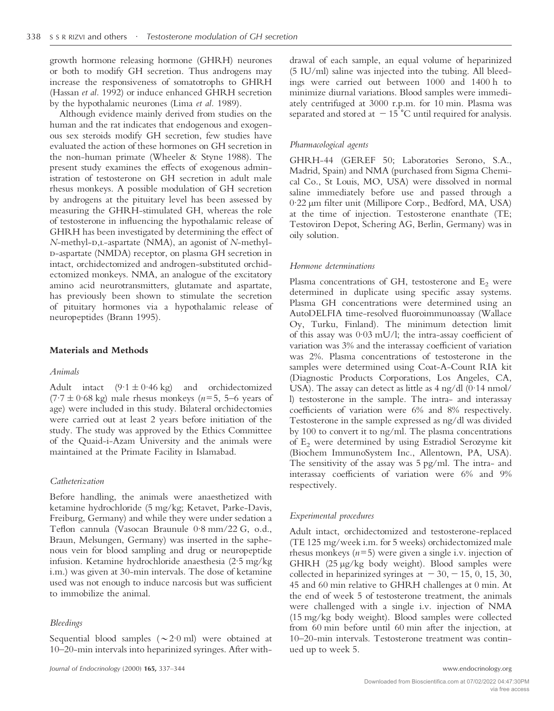growth hormone releasing hormone (GHRH) neurones or both to modify GH secretion. Thus androgens may increase the responsiveness of somatotrophs to GHRH (Hassan *et al.* 1992) or induce enhanced GHRH secretion by the hypothalamic neurones (Lima *et al.* 1989).

Although evidence mainly derived from studies on the human and the rat indicates that endogenous and exogenous sex steroids modify GH secretion, few studies have evaluated the action of these hormones on GH secretion in the non-human primate (Wheeler & Styne 1988). The present study examines the effects of exogenous administration of testosterone on GH secretion in adult male rhesus monkeys. A possible modulation of GH secretion by androgens at the pituitary level has been assessed by measuring the GHRH-stimulated GH, whereas the role of testosterone in influencing the hypothalamic release of GHRH has been investigated by determining the effect of *N*-methyl-D,L-aspartate (NMA), an agonist of *N*-methyl--aspartate (NMDA) receptor, on plasma GH secretion in intact, orchidectomized and androgen-substituted orchidectomized monkeys. NMA, an analogue of the excitatory amino acid neurotransmitters, glutamate and aspartate, has previously been shown to stimulate the secretion of pituitary hormones via a hypothalamic release of neuropeptides (Brann 1995).

#### **Materials and Methods**

#### *Animals*

Adult intact  $(9.1 \pm 0.46 \text{ kg})$  and orchidectomized  $(7.7 \pm 0.68 \text{ kg})$  male rhesus monkeys ( $n=5$ , 5–6 years of age) were included in this study. Bilateral orchidectomies were carried out at least 2 years before initiation of the study. The study was approved by the Ethics Committee of the Quaid-i-Azam University and the animals were maintained at the Primate Facility in Islamabad.

#### *Catheterization*

Before handling, the animals were anaesthetized with ketamine hydrochloride (5 mg/kg; Ketavet, Parke-Davis, Freiburg, Germany) and while they were under sedation a Teflon cannula (Vasocan Braunule 0·8 mm/22 G, o.d., Braun, Melsungen, Germany) was inserted in the saphenous vein for blood sampling and drug or neuropeptide infusion. Ketamine hydrochloride anaesthesia (2·5 mg/kg i.m.) was given at 30-min intervals. The dose of ketamine used was not enough to induce narcosis but was sufficient to immobilize the animal.

#### *Bleedings*

Sequential blood samples  $({\sim}2.0 \text{ ml})$  were obtained at 10–20-min intervals into heparinized syringes. After with-

drawal of each sample, an equal volume of heparinized (5 IU/ml) saline was injected into the tubing. All bleedings were carried out between 1000 and 1400 h to minimize diurnal variations. Blood samples were immediately centrifuged at 3000 r.p.m. for 10 min. Plasma was separated and stored at  $-15$  °C until required for analysis.

#### *Pharmacological agents*

GHRH-44 (GEREF 50; Laboratories Serono, S.A., Madrid, Spain) and NMA (purchased from Sigma Chemical Co., St Louis, MO, USA) were dissolved in normal saline immediately before use and passed through a 0·22 µm filter unit (Millipore Corp., Bedford, MA, USA) at the time of injection. Testosterone enanthate (TE; Testoviron Depot, Schering AG, Berlin, Germany) was in oily solution.

#### *Hormone determinations*

Plasma concentrations of GH, testosterone and  $E_2$  were determined in duplicate using specific assay systems. Plasma GH concentrations were determined using an AutoDELFIA time-resolved fluoroimmunoassay (Wallace Oy, Turku, Finland). The minimum detection limit of this assay was 0·03 mU/l; the intra-assay coefficient of variation was 3% and the interassay coefficient of variation was 2%. Plasma concentrations of testosterone in the samples were determined using Coat-A-Count RIA kit (Diagnostic Products Corporations, Los Angeles, CA, USA). The assay can detect as little as  $4 \frac{\text{ng}}{\text{dl}} (0.14 \text{ nmol}$ l) testosterone in the sample. The intra- and interassay coefficients of variation were 6% and 8% respectively. Testosterone in the sample expressed as ng/dl was divided by 100 to convert it to ng/ml. The plasma concentrations of  $E<sub>2</sub>$  were determined by using Estradiol Serozyme kit (Biochem ImmunoSystem Inc., Allentown, PA, USA). The sensitivity of the assay was 5 pg/ml. The intra- and interassay coefficients of variation were 6% and 9% respectively.

#### *Experimental procedures*

Adult intact, orchidectomized and testosterone-replaced (TE 125 mg/week i.m. for 5 weeks) orchidectomized male rhesus monkeys (*n*=5) were given a single i.v. injection of GHRH (25 µg/kg body weight). Blood samples were collected in heparinized syringes at  $-30, -15, 0, 15, 30,$ 45 and 60 min relative to GHRH challenges at 0 min. At the end of week 5 of testosterone treatment, the animals were challenged with a single i.v. injection of NMA (15 mg/kg body weight). Blood samples were collected from 60 min before until 60 min after the injection, at 10–20-min intervals. Testosterone treatment was continued up to week 5.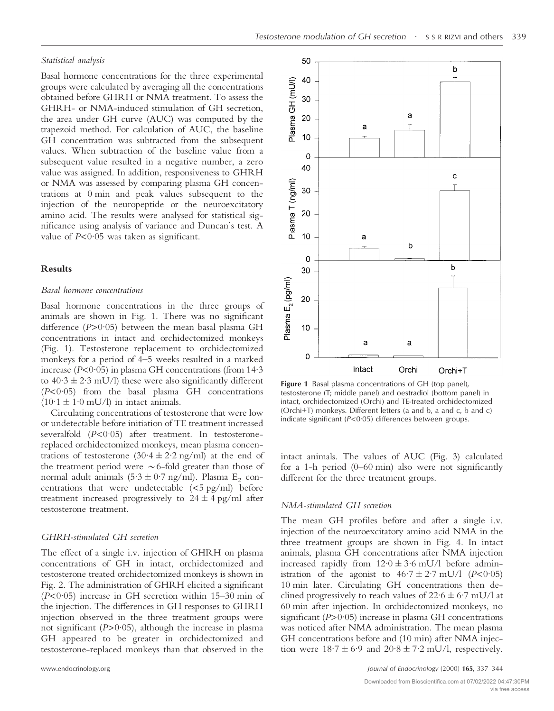#### *Statistical analysis*

Basal hormone concentrations for the three experimental groups were calculated by averaging all the concentrations obtained before GHRH or NMA treatment. To assess the GHRH- or NMA-induced stimulation of GH secretion, the area under GH curve (AUC) was computed by the trapezoid method. For calculation of AUC, the baseline GH concentration was subtracted from the subsequent values. When subtraction of the baseline value from a subsequent value resulted in a negative number, a zero value was assigned. In addition, responsiveness to GHRH or NMA was assessed by comparing plasma GH concentrations at 0 min and peak values subsequent to the injection of the neuropeptide or the neuroexcitatory amino acid. The results were analysed for statistical significance using analysis of variance and Duncan's test. A value of *P*<0·05 was taken as significant.

# **Results**

#### *Basal hormone concentrations*

Basal hormone concentrations in the three groups of animals are shown in Fig. 1. There was no significant difference (*P*>0·05) between the mean basal plasma GH concentrations in intact and orchidectomized monkeys (Fig. 1). Testosterone replacement to orchidectomized monkeys for a period of 4–5 weeks resulted in a marked increase (*P*<0·05) in plasma GH concentrations (from 14·3 to  $40.3 \pm 2.3$  mU/l) these were also significantly different (*P*<0·05) from the basal plasma GH concentrations  $(10.1 \pm 1.0 \text{ mU/l})$  in intact animals.

Circulating concentrations of testosterone that were low or undetectable before initiation of TE treatment increased severalfold (*P*<0.05) after treatment. In testosteronereplaced orchidectomized monkeys, mean plasma concentrations of testosterone  $(30.4 \pm 2.2 \text{ ng/ml})$  at the end of the treatment period were  $\sim$  6-fold greater than those of normal adult animals  $(5.3 \pm 0.7 \text{ ng/ml})$ . Plasma E<sub>2</sub> concentrations that were undetectable  $(<5$  pg/ml) before treatment increased progressively to  $24 \pm 4$  pg/ml after testosterone treatment.

# *GHRH-stimulated GH secretion*

The effect of a single i.v. injection of GHRH on plasma concentrations of GH in intact, orchidectomized and testosterone treated orchidectomized monkeys is shown in Fig. 2. The administration of GHRH elicited a significant (*P*<0·05) increase in GH secretion within 15–30 min of the injection. The differences in GH responses to GHRH injection observed in the three treatment groups were not significant (*P*>0·05), although the increase in plasma GH appeared to be greater in orchidectomized and testosterone-replaced monkeys than that observed in the



**Figure 1** Basal plasma concentrations of GH (top panel), testosterone (T; middle panel) and oestradiol (bottom panel) in intact, orchidectomized (Orchi) and TE-treated orchidectomized (Orchi+T) monkeys. Different letters (a and b, a and c, b and c) indicate significant (*P*<0·05) differences between groups.

intact animals. The values of AUC (Fig. 3) calculated for a 1-h period (0–60 min) also were not significantly different for the three treatment groups.

# *NMA-stimulated GH secretion*

The mean GH profiles before and after a single i.v. injection of the neuroexcitatory amino acid NMA in the three treatment groups are shown in Fig. 4. In intact animals, plasma GH concentrations after NMA injection increased rapidly from  $12.0 \pm 3.6$  mU/l before administration of the agonist to  $46.7 \pm 2.7$  mU/l ( $P < 0.05$ ) 10 min later. Circulating GH concentrations then declined progressively to reach values of  $22.6 \pm 6.7$  mU/l at 60 min after injection. In orchidectomized monkeys, no significant ( $P > 0.05$ ) increase in plasma GH concentrations was noticed after NMA administration. The mean plasma GH concentrations before and (10 min) after NMA injection were  $18.7 \pm 6.9$  and  $20.8 \pm 7.2$  mU/l, respectively.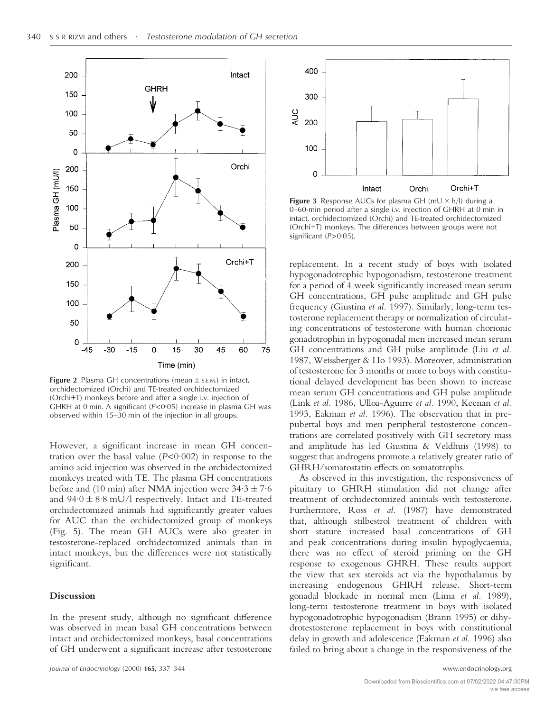

**Figure 2** Plasma GH concentrations (mean  $\pm$  s.E.M.) in intact, orchidectomized (Orchi) and TE-treated orchidectomized (Orchi+T) monkeys before and after a single i.v. injection of GHRH at 0 min. A significant (*P*<0·05) increase in plasma GH was observed within 15–30 min of the injection in all groups.

However, a significant increase in mean GH concentration over the basal value  $(P<0.002)$  in response to the amino acid injection was observed in the orchidectomized monkeys treated with TE. The plasma GH concentrations before and (10 min) after NMA injection were  $34.3 \pm 7.6$ and  $94.0 \pm 8.8$  mU/l respectively. Intact and TE-treated orchidectomized animals had significantly greater values for AUC than the orchidectomized group of monkeys (Fig. 5). The mean GH AUCs were also greater in testosterone-replaced orchidectomized animals than in intact monkeys, but the differences were not statistically significant.

# **Discussion**

In the present study, although no significant difference was observed in mean basal GH concentrations between intact and orchidectomized monkeys, basal concentrations of GH underwent a significant increase after testosterone



**Figure 3** Response AUCs for plasma GH ( $mU \times h/l$ ) during a 0–60-min period after a single i.v. injection of GHRH at 0 min in intact, orchidectomized (Orchi) and TE-treated orchidectomized (Orchi+T) monkeys. The differences between groups were not significant ( $P > 0.05$ ).

replacement. In a recent study of boys with isolated hypogonadotrophic hypogonadism, testosterone treatment for a period of 4 week significantly increased mean serum GH concentrations, GH pulse amplitude and GH pulse frequency (Giustina *et al.* 1997). Similarly, long-term testosterone replacement therapy or normalization of circulating concentrations of testosterone with human chorionic gonadotrophin in hypogonadal men increased mean serum GH concentrations and GH pulse amplitude (Liu *et al.* 1987, Weissberger & Ho 1993). Moreover, administration of testosterone for 3 months or more to boys with constitutional delayed development has been shown to increase mean serum GH concentrations and GH pulse amplitude (Link *et al.* 1986, Ulloa-Aguirre *et al.* 1990, Keenan *et al.* 1993, Eakman *et al.* 1996). The observation that in prepubertal boys and men peripheral testosterone concentrations are correlated positively with GH secretory mass and amplitude has led Giustina & Veldhuis (1998) to suggest that androgens promote a relatively greater ratio of GHRH/somatostatin effects on somatotrophs.

As observed in this investigation, the responsiveness of pituitary to GHRH stimulation did not change after treatment of orchidectomized animals with testosterone. Furthermore, Ross *et al.* (1987) have demonstrated that, although stilbestrol treatment of children with short stature increased basal concentrations of GH and peak concentrations during insulin hypoglycaemia, there was no effect of steroid priming on the GH response to exogenous GHRH. These results support the view that sex steroids act via the hypothalamus by increasing endogenous GHRH release. Short-term gonadal blockade in normal men (Lima *et al.* 1989), long-term testosterone treatment in boys with isolated hypogonadotrophic hypogonadism (Brann 1995) or dihydrotestosterone replacement in boys with constitutional delay in growth and adolescence (Eakman *et al.* 1996) also failed to bring about a change in the responsiveness of the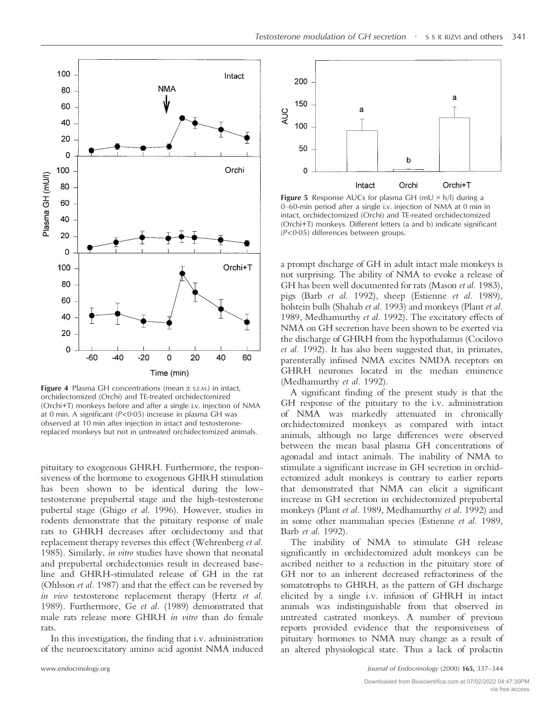

**Figure 4** Plasma GH concentrations (mean  $\pm$  s.E.M.) in intact, orchidectomized (Orchi) and TE-treated orchidectomized (Orchi+T) monkeys before and after a single i.v. injection of NMA at 0 min. A significant (*P*<0·05) increase in plasma GH was observed at 10 min after injection in intact and testosteronereplaced monkeys but not in untreated orchidectomized animals.

pituitary to exogenous GHRH. Furthermore, the responsiveness of the hormone to exogenous GHRH stimulation has been shown to be identical during the lowtestosterone prepubertal stage and the high-testosterone pubertal stage (Ghigo *et al.* 1996). However, studies in rodents demonstrate that the pituitary response of male rats to GHRH decreases after orchidectomy and that replacement therapy reverses this effect (Wehrenberg *et al.* 1985). Similarly, *in vitro* studies have shown that neonatal and prepubertal orchidectomies result in decreased baseline and GHRH-stimulated release of GH in the rat (Ohlsson *et al.* 1987) and that the effect can be reversed by *in vivo* testosterone replacement therapy (Hertz *et al.* 1989). Furthermore, Ge *et al.* (1989) demonstrated that male rats release more GHRH *in vitro* than do female rats.

In this investigation, the finding that i.v. administration of the neuroexcitatory amino acid agonist NMA induced



**Figure 5** Response AUCs for plasma GH (mU  $\times$  h/l) during a 0–60-min period after a single i.v. injection of NMA at 0 min in intact, orchidectomized (Orchi) and TE-reated orchidectomized (Orchi+T) monkeys. Different letters (a and b) indicate significant (*P*<0·05) differences between groups.

a prompt discharge of GH in adult intact male monkeys is not surprising. The ability of NMA to evoke a release of GH has been well documented for rats (Mason *et al.* 1983), pigs (Barb *et al.* 1992), sheep (Estienne *et al.* 1989), holstein bulls (Shahab *et al.* 1993) and monkeys (Plant *et al.* 1989, Medhamurthy *et al.* 1992). The excitatory effects of NMA on GH secretion have been shown to be exerted via the discharge of GHRH from the hypothalamus (Cocilovo *et al.* 1992). It has also been suggested that, in primates, parenterally infused NMA excites NMDA receptors on GHRH neurones located in the median eminence (Medhamurthy *et al.* 1992).

A significant finding of the present study is that the GH response of the pituitary to the i.v. administration of NMA was markedly attenuated in chronically orchidectomized monkeys as compared with intact animals, although no large differences were observed between the mean basal plasma GH concentrations of agonadal and intact animals. The inability of NMA to stimulate a significant increase in GH secretion in orchidectomized adult monkeys is contrary to earlier reports that demonstrated that NMA can elicit a significant increase in GH secretion in orchidectomized prepubertal monkeys (Plant *et al.* 1989, Medhamurthy *et al.* 1992) and in some other mammalian species (Estienne *et al.* 1989, Barb *et al.* 1992).

The inability of NMA to stimulate GH release significantly in orchidectomized adult monkeys can be ascribed neither to a reduction in the pituitary store of GH nor to an inherent decreased refractoriness of the somatotrophs to GHRH, as the pattern of GH discharge elicited by a single i.v. infusion of GHRH in intact animals was indistinguishable from that observed in untreated castrated monkeys. A number of previous reports provided evidence that the responsiveness of pituitary hormones to NMA may change as a result of an altered physiological state. Thus a lack of prolactin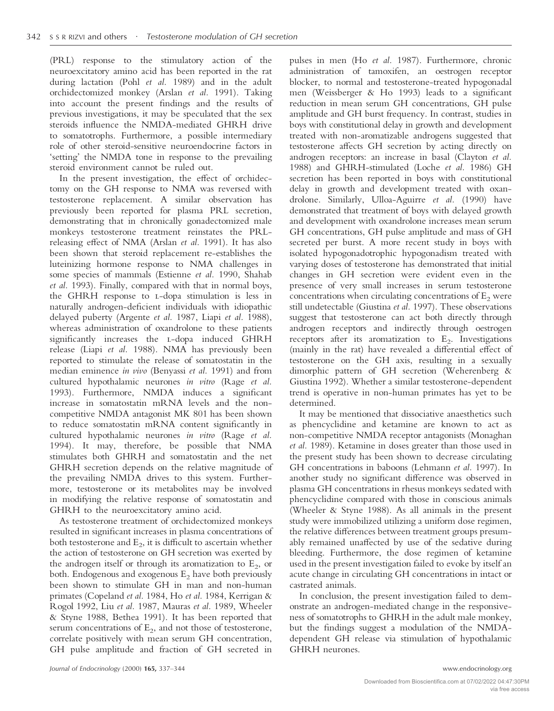(PRL) response to the stimulatory action of the neuroexcitatory amino acid has been reported in the rat during lactation (Pohl *et al.* 1989) and in the adult orchidectomized monkey (Arslan *et al.* 1991). Taking into account the present findings and the results of previous investigations, it may be speculated that the sex steroids influence the NMDA-mediated GHRH drive to somatotrophs. Furthermore, a possible intermediary role of other steroid-sensitive neuroendocrine factors in 'setting' the NMDA tone in response to the prevailing steroid environment cannot be ruled out.

In the present investigation, the effect of orchidectomy on the GH response to NMA was reversed with testosterone replacement. A similar observation has previously been reported for plasma PRL secretion, demonstrating that in chronically gonadectomized male monkeys testosterone treatment reinstates the PRLreleasing effect of NMA (Arslan *et al.* 1991). It has also been shown that steroid replacement re-establishes the luteinizing hormone response to NMA challenges in some species of mammals (Estienne *et al.* 1990, Shahab *et al.* 1993). Finally, compared with that in normal boys, the GHRH response to L-dopa stimulation is less in naturally androgen-deficient individuals with idiopathic delayed puberty (Argente *et al.* 1987, Liapi *et al.* 1988), whereas administration of oxandrolone to these patients significantly increases the L-dopa induced GHRH release (Liapi *et al.* 1988). NMA has previously been reported to stimulate the release of somatostatin in the median eminence *in vivo* (Benyassi *et al.* 1991) and from cultured hypothalamic neurones *in vitro* (Rage *et al.* 1993). Furthermore, NMDA induces a significant increase in somatostatin mRNA levels and the noncompetitive NMDA antagonist MK 801 has been shown to reduce somatostatin mRNA content significantly in cultured hypothalamic neurones *in vitro* (Rage *et al.* 1994). It may, therefore, be possible that NMA stimulates both GHRH and somatostatin and the net GHRH secretion depends on the relative magnitude of the prevailing NMDA drives to this system. Furthermore, testosterone or its metabolites may be involved in modifying the relative response of somatostatin and GHRH to the neuroexcitatory amino acid.

As testosterone treatment of orchidectomized monkeys resulted in significant increases in plasma concentrations of both testosterone and  $E_2$ , it is difficult to ascertain whether the action of testosterone on GH secretion was exerted by the androgen itself or through its aromatization to  $E_2$ , or both. Endogenous and exogenous  $E_2$  have both previously been shown to stimulate GH in man and non-human primates (Copeland *et al.* 1984, Ho *et al.* 1984, Kerrigan & Rogol 1992, Liu *et al.* 1987, Mauras *et al.* 1989, Wheeler & Styne 1988, Bethea 1991). It has been reported that serum concentrations of  $E_2$ , and not those of testosterone, correlate positively with mean serum GH concentration, GH pulse amplitude and fraction of GH secreted in

pulses in men (Ho *et al.* 1987). Furthermore, chronic administration of tamoxifen, an oestrogen receptor blocker, to normal and testosterone-treated hypogonadal men (Weissberger & Ho 1993) leads to a significant reduction in mean serum GH concentrations, GH pulse amplitude and GH burst frequency. In contrast, studies in boys with constitutional delay in growth and development treated with non-aromatizable androgens suggested that testosterone affects GH secretion by acting directly on androgen receptors: an increase in basal (Clayton *et al.* 1988) and GHRH-stimulated (Loche *et al.* 1986) GH secretion has been reported in boys with constitutional delay in growth and development treated with oxandrolone. Similarly, Ulloa-Aguirre *et al.* (1990) have demonstrated that treatment of boys with delayed growth and development with oxandrolone increases mean serum GH concentrations, GH pulse amplitude and mass of GH secreted per burst. A more recent study in boys with isolated hypogonadotrophic hypogonadism treated with varying doses of testosterone has demonstrated that initial changes in GH secretion were evident even in the presence of very small increases in serum testosterone concentrations when circulating concentrations of  $E<sub>2</sub>$  were still undetectable (Giustina *et al.* 1997). These observations suggest that testosterone can act both directly through androgen receptors and indirectly through oestrogen receptors after its aromatization to  $E_2$ . Investigations (mainly in the rat) have revealed a differential effect of testosterone on the GH axis, resulting in a sexually dimorphic pattern of GH secretion (Weherenberg & Giustina 1992). Whether a similar testosterone-dependent trend is operative in non-human primates has yet to be determined.

It may be mentioned that dissociative anaesthetics such as phencyclidine and ketamine are known to act as non-competitive NMDA receptor antagonists (Monaghan *et al.* 1989). Ketamine in doses greater than those used in the present study has been shown to decrease circulating GH concentrations in baboons (Lehmann *et al.* 1997). In another study no significant difference was observed in plasma GH concentrations in rhesus monkeys sedated with phencyclidine compared with those in conscious animals (Wheeler & Styne 1988). As all animals in the present study were immobilized utilizing a uniform dose regimen, the relative differences between treatment groups presumably remained unaffected by use of the sedative during bleeding. Furthermore, the dose regimen of ketamine used in the present investigation failed to evoke by itself an acute change in circulating GH concentrations in intact or castrated animals.

In conclusion, the present investigation failed to demonstrate an androgen-mediated change in the responsiveness of somatotrophs to GHRH in the adult male monkey, but the findings suggest a modulation of the NMDAdependent GH release via stimulation of hypothalamic GHRH neurones.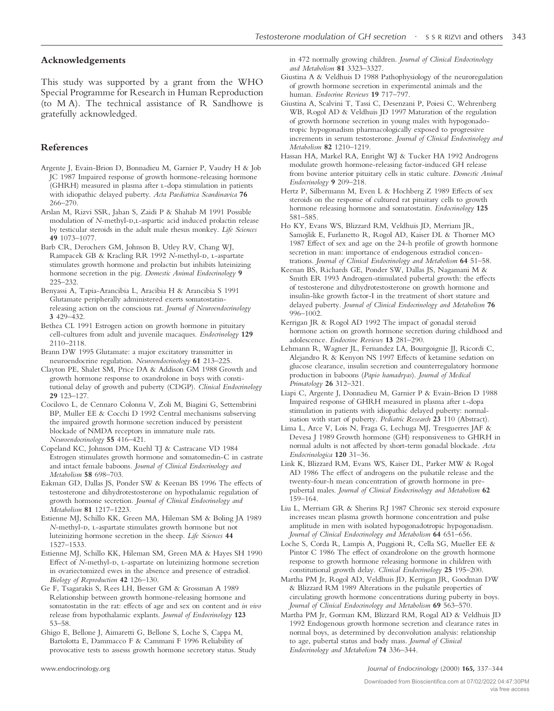# **Acknowledgements**

This study was supported by a grant from the WHO Special Programme for Research in Human Reproduction (to M A). The technical assistance of R Sandhowe is gratefully acknowledged.

# **References**

- Argente J, Evain-Brion D, Bonnadieu M, Garnier P, Vaudry H & Job JC 1987 Impaired response of growth hormone-releasing hormone (GHRH) measured in plasma after 1-dopa stimulation in patients with idiopathic delayed puberty. *Acta Paediatrica Scandinavica* **76** 266–270.
- Arslan M, Rizvi SSR, Jahan S, Zaidi P & Shahab M 1991 Possible modulation of *N*-methyl-D,L-aspartic acid induced prolactin release by testicular steroids in the adult male rhesus monkey. *Life Sciences* **49** 1073–1077.
- Barb CR, Derochers GM, Johnson B, Utley RV, Chang WJ, Rampacek GB & Kracling RR 1992 *N*-methyl-D, L-aspartate stimulates growth hormone and prolactin but inhibits luteinizing hormone secretion in the pig. *Domestic Animal Endocrinology* **9** 225–232.
- Benyassi A, Tapia-Arancibia L, Aracibia H & Arancibia S 1991 Glutamate peripherally administered exerts somatostatinreleasing action on the conscious rat. *Journal of Neuroendocrinology* **3** 429–432.
- Bethea CL 1991 Estrogen action on growth hormone in pituitary cell-cultures from adult and juvenile macaques. *Endocrinology* **129** 2110–2118.
- Brann DW 1995 Glutamate: a major excitatory transmitter in neuroendocrine regulation. *Neuroendocrinology* **61** 213–225.
- Clayton PE, Shalet SM, Price DA & Addison GM 1988 Growth and growth hormone response to oxandrolone in boys with constitutional delay of growth and puberty (CDGP). *Clinical Endocrinology* **29** 123–127.
- Cocilovo L, de Cennaro Colonna V, Zoli M, Biagini G, Settembrini BP, Muller EE & Cocchi D 1992 Central mechanisms subserving the impaired growth hormone secretion induced by persistent blockade of NMDA receptors in immature male rats. *Neuroendocrinology* **55** 416–421.
- Copeland KC, Johnson DM, Kuehl TJ & Castracane VD 1984 Estrogen stimulates growth hormone and somatomedin-C in castrate and intact female baboons. *Journal of Clinical Endocrinology and Metabolism* **58** 698–703.
- Eakman GD, Dallas JS, Ponder SW & Keenan BS 1996 The effects of testosterone and dihydrotestosterone on hypothalamic regulation of growth hormone secretion. *Journal of Clinical Endocrinology and Metabolism* **81** 1217–1223.
- Estienne MJ, Schillo KK, Green MA, Hileman SM & Boling JA 1989 *N*-methyl-D, L-aspartate stimulates growth hormone but not luteinizing hormone secretion in the sheep. *Life Sciences* **44** 1527–1533.
- Estienne MJ, Schillo KK, Hileman SM, Green MA & Hayes SH 1990 Effect of *N*-methyl-D, L-aspartate on luteinizing hormone secretion in ovariectomized ewes in the absence and presence of estradiol*. Biology of Reproduction* **42** 126–130.
- Ge F, Tsagarakis S, Rees LH, Besser GM & Grossman A 1989 Relationship between growth hormone-releasing hormone and somatostatin in the rat: effects of age and sex on content and *in vivo* release from hypothalamic explants. *Journal of Endocrinology* **123** 53–58.
- Ghigo E, Bellone J, Aimaretti G, Bellone S, Loche S, Cappa M, Bartolotta E, Dammacco F & Cammani F 1996 Reliability of provocative tests to assesss growth hormone secretory status. Study

in 472 normally growing children. *Journal of Clinical Endocrinology and Metabolism* **81** 3323–3327.

- GiustinaA&Veldhuis D 1988 Pathophysiology of the neuroregulation of growth hormone secretion in experimental animals and the human. *Endocrine Reviews* **19** 717–797.
- Giustina A, Scalvini T, Tassi C, Desenzani P, Poiesi C, Wehrenberg WB, Rogol AD & Veldhuis JD 1997 Maturation of the regulation of growth hormone secretion in young males with hypogonadotropic hypogonadism pharmacologically exposed to progressive increments in serum testosterone. *Journal of Clinical Endocrinology and Metabolism* **82** 1210–1219.
- Hassan HA, Markel RA, Enright WJ & Tucker HA 1992 Androgens modulate growth hormone-releasing factor-induced GH release from bovine anterior pituitary cells in static culture. *Domestic Animal Endocrinology* **9** 209–218.
- Hertz P, Silbermann M, Even L & Hochberg Z 1989 Effects of sex steroids on the response of cultured rat pituitary cells to growth hormone releasing hormone and somatostatin. *Endocrinology* **125** 581–585.
- Ho KY, Evans WS, Blizzard RM, Veldhuis JD, Merriam JR, Samojlik E, Furlanetto R, Rogol AD, Kaiser DL & Thorner MO 1987 Effect of sex and age on the 24-h profile of growth hormone secretion in man: importance of endogenous estradiol concentrations. *Journal of Clinical Endocrinology and Metabolism* **64** 51–58.
- Keenan BS, Richards GE, Ponder SW, Dallas JS, Nagamani M & Smith ER 1993 Androgen-stimulated pubertal growth: the effects of testosterone and dihydrotestosterone on growth hormone and insulin-like growth factor-I in the treatment of short stature and delayed puberty. *Journal of Clinical Endocrinology and Metabolism* **76** 996–1002.
- Kerrigan JR & Rogol AD 1992 The impact of gonadal steroid hormone action on growth hormone secretion during childhood and adolescence. *Endocrine Reviews* **13** 281–290.
- Lehmann R, Wagner JL, Fernandez LA, Bourgoignie JJ, Ricordi C, Alejandro R & Kenyon NS 1997 Effects of ketamine sedation on glucose clearance, insulin secretion and counterregulatory hormone production in baboons (*Papio hamadryas*). *Journal of Medical Primatology* **26** 312–321.
- Liapi C, Argente J, Donnadieu M, Garnier P & Evain-Brion D 1988 Impaired response of GHRH measured in plasma after L-dopa stimulation in patients with idiopathic delayed puberty: normalisation with start of puberty. *Pediatric Research* **23** 110 (Abstract).
- Lima L, Arce V, Lois N, Fraga G, Lechuga MJ, Tresguerres JAF & Devesa J 1989 Growth hormone (GH) responsiveness to GHRH in normal adults is not affected by short-term gonadal blockade*. Acta Endocrinologica* **120** 31–36.
- Link K, Blizzard RM, Evans WS, Kaiser DL, Parker MW & Rogol AD 1986 The effect of androgens on the pulsatile release and the twenty-four-h mean concentration of growth hormone in prepubertal males. *Journal of Clinical Endocrinology and Metabolism* **62** 159–164.
- Liu L, Merriam GR & Sherins RJ 1987 Chronic sex steroid exposure increases mean plasma growth hormone concentration and pulse amplitude in men with isolated hypogonadotropic hypogonadism. *Journal of Clinical Endocrinology and Metabolism* **64** 651–656.
- Loche S, Corda R, Lampis A, Puggioni R, Cella SG, Mueller EE & Pintor C 1986 The effect of oxandrolone on the growth hormone response to growth hormone releasing hormone in children with constitutional growth delay. *Clinical Endocrinology* **25** 195–200.
- Martha PM Jr, Rogol AD, Veldhuis JD, Kerrigan JR, Goodman DW & Blizzard RM 1989 Alterations in the pulsatile properties of circulating growth hormone concentrations during puberty in boys. *Journal of Clinical Endocrinology and Metabolism* **69** 563–570.
- Martha PM Jr, Gorman KM, Blizzard RM, Rogal AD & Veldhuis JD 1992 Endogenous growth hormone secretion and clearance rates in normal boys, as determined by deconvolution analysis: relationship to age, pubertal status and body mass. *Journal of Clinical Endocrinology and Metabolism* **74** 336–344.

www.endocrinology.org *Journal of Endocrinology* (2000) **165,** 337–344